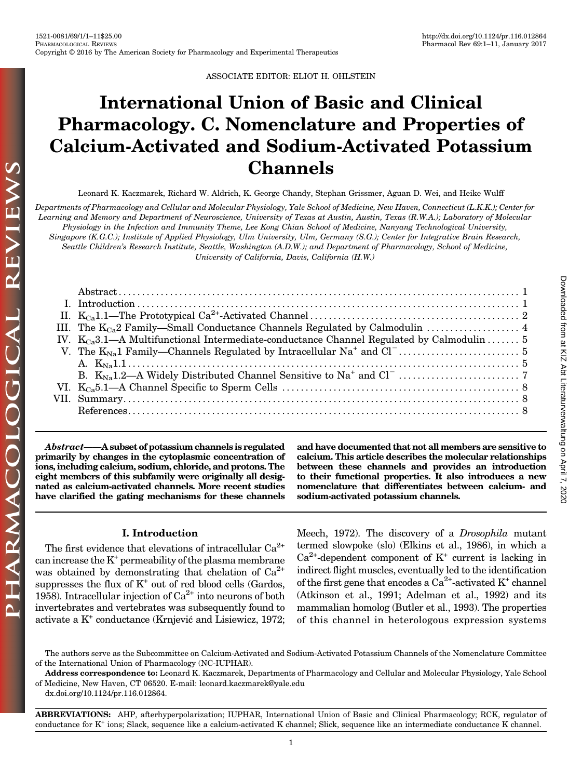ASSOCIATE EDITOR: ELIOT H. OHLSTEIN

# International Union of Basic and Clinical Pharmacology. C. Nomenclature and Properties of Calcium-Activated and Sodium-Activated Potassium Channels

Leonard K. Kaczmarek, Richard W. Aldrich, K. George Chandy, Stephan Grissmer, Aguan D. Wei, and Heike Wulff

Departments of Pharmacology and Cellular and Molecular Physiology, Yale School of Medicine, New Haven, Connecticut (L.K.K.); Center for Learning and Memory and Department of Neuroscience, University of Texas at Austin, Austin, Texas (R.W.A.); Laboratory of Molecular Physiology in the Infection and Immunity Theme, Lee Kong Chian School of Medicine, Nanyang Technological University, Singapore (K.G.C.); Institute of Applied Physiology, Ulm University, Ulm, Germany (S.G.); Center for Integrative Brain Research, Seattle Children's Research Institute, Seattle, Washington (A.D.W.); and Department of Pharmacology, School of Medicine, University of California, Davis, California (H.W.)

| IV. $K_{Ca}3.1-A$ Multifunctional Intermediate-conductance Channel Regulated by Calmodulin  5 |
|-----------------------------------------------------------------------------------------------|
|                                                                                               |
|                                                                                               |
|                                                                                               |
|                                                                                               |
|                                                                                               |
|                                                                                               |
|                                                                                               |

Abstract——A subset of potassium channels is regulated primarily by changes in the cytoplasmic concentration of ions, including calcium, sodium, chloride, and protons. The eight members of this subfamily were originally all designated as calcium-activated channels. More recent studies have clarified the gating mechanisms for these channels and have documented that not all members are sensitive to calcium. This article describes the molecular relationships between these channels and provides an introduction to their functional properties. It also introduces a new nomenclature that differentiates between calcium- and sodium-activated potassium channels.

# I. Introduction

The first evidence that elevations of intracellular  $Ca^{2+}$ can increase the  $K^+$  permeability of the plasma membrane was obtained by demonstrating that chelation of  $Ca^{2+}$ suppresses the flux of  $K^+$  out of red blood cells (Gardos, 1958). Intracellular injection of  $Ca^{2+}$  into neurons of both invertebrates and vertebrates was subsequently found to activate a K+ conductance (Krnjevic and Lisiewicz, 1972; Meech, 1972). The discovery of a *Drosophila* mutant termed slowpoke (slo) (Elkins et al., 1986), in which a  $Ca^{2+}$ -dependent component of  $K^+$  current is lacking in indirect flight muscles, eventually led to the identification of the first gene that encodes a  $Ca^{2+}$ -activated K<sup>+</sup> channel (Atkinson et al., 1991; Adelman et al., 1992) and its mammalian homolog (Butler et al., 1993). The properties of this channel in heterologous expression systems

Address correspondence to: Leonard K. Kaczmarek, Departments of Pharmacology and Cellular and Molecular Physiology, Yale School of Medicine, New Haven, CT 06520. E-mail: [leonard.kaczmarek@yale.edu](mailto:leonard.kaczmarek@yale.edu)

[dx.doi.org/10.1124/pr.116.012864.](http://dx.doi.org/10.1124/pr.116.012864)

REVIEWS

PHARMACOLOGICAL

ABBREVIATIONS: AHP, afterhyperpolarization; IUPHAR, International Union of Basic and Clinical Pharmacology; RCK, regulator of conductance for  $K^+$  ions; Slack, sequence like a calcium-activated K channel; Slick, sequence like an intermediate conductance K channel.

The authors serve as the Subcommittee on Calcium-Activated and Sodium-Activated Potassium Channels of the Nomenclature Committee of the International Union of Pharmacology (NC-IUPHAR).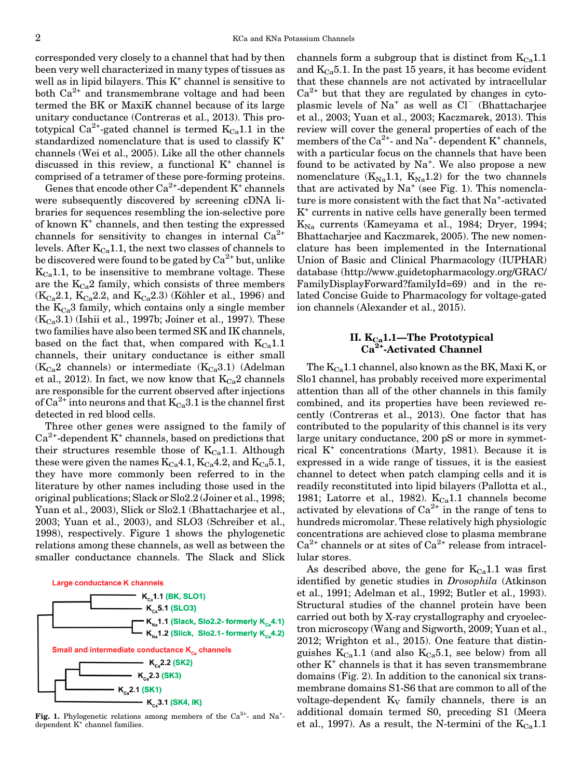<span id="page-1-0"></span>corresponded very closely to a channel that had by then been very well characterized in many types of tissues as well as in lipid bilayers. This  $K^+$  channel is sensitive to both  $Ca^{2+}$  and transmembrane voltage and had been termed the BK or MaxiK channel because of its large unitary conductance (Contreras et al., 2013). This prototypical Ca<sup>2+</sup>-gated channel is termed  $K_{Ca}1.1$  in the standardized nomenclature that is used to classify K+ channels (Wei et al., 2005). Like all the other channels discussed in this review, a functional  $K^+$  channel is comprised of a tetramer of these pore-forming proteins.

Genes that encode other  $Ca^{2+}$ -dependent  $K^+$  channels were subsequently discovered by screening cDNA libraries for sequences resembling the ion-selective pore of known K+ channels, and then testing the expressed channels for sensitivity to changes in internal  $Ca^{2+}$ levels. After  $K_{Ca}1.1$ , the next two classes of channels to be discovered were found to be gated by  $Ca^{2+}$  but, unlike  $K_{Ca}1.1$ , to be insensitive to membrane voltage. These are the  $K_{Ca}2$  family, which consists of three members  $(K_{Ca}2.1, K_{Ca}2.2,$  and  $K_{Ca}2.3)$  (Köhler et al., 1996) and the  $K_{Ca}$ 3 family, which contains only a single member  $(K<sub>Ca</sub>3.1)$  (Ishii et al., 1997b; Joiner et al., 1997). These two families have also been termed SK and IK channels, based on the fact that, when compared with  $K_{Ca}1.1$ channels, their unitary conductance is either small  $(K<sub>Ca</sub>2$  channels) or intermediate  $(K<sub>Ca</sub>3.1)$  (Adelman et al., 2012). In fact, we now know that  $K_{Ca}2$  channels are responsible for the current observed after injections of  $Ca^{2+}$  into neurons and that  $K_{Ca}3.1$  is the channel first detected in red blood cells.

Three other genes were assigned to the family of  $Ca<sup>2+</sup>$ -dependent K<sup>+</sup> channels, based on predictions that their structures resemble those of  $K_{Ca}1.1$ . Although these were given the names  $K_{Ca}4.1, K_{Ca}4.2,$  and  $K_{Ca}5.1,$ they have more commonly been referred to in the literature by other names including those used in the original publications; Slack or Slo2.2 (Joiner et al., 1998; Yuan et al., 2003), Slick or Slo2.1 (Bhattacharjee et al., 2003; Yuan et al., 2003), and SLO3 (Schreiber et al., 1998), respectively. Figure 1 shows the phylogenetic relations among these channels, as well as between the smaller conductance channels. The Slack and Slick



**Fig. 1.** Phylogenetic relations among members of the  $Ca^{2+}$ - and Na<sup>+</sup>dependent K<sup>+</sup> channel families.

channels form a subgroup that is distinct from  $K_{Ca}1.1$ and  $K_{Ca}5.1$ . In the past 15 years, it has become evident that these channels are not activated by intracellular  $Ca<sup>2+</sup>$  but that they are regulated by changes in cytoplasmic levels of  $Na^+$  as well as  $Cl^-$  (Bhattacharjee et al., 2003; Yuan et al., 2003; Kaczmarek, 2013). This review will cover the general properties of each of the members of the  $Ca^{2+}$ - and Na<sup>+</sup>- dependent K<sup>+</sup> channels, with a particular focus on the channels that have been found to be activated by  $Na^+$ . We also propose a new nomenclature  $(K_{Na}1.1, K_{Na}1.2)$  for the two channels that are activated by  $Na^+$  (see Fig. 1). This nomenclature is more consistent with the fact that Na<sup>+</sup>-activated K<sup>+</sup> currents in native cells have generally been termed  $K_{\text{Na}}$  currents (Kameyama et al., 1984; Dryer, 1994; Bhattacharjee and Kaczmarek, 2005). The new nomenclature has been implemented in the International Union of Basic and Clinical Pharmacology (IUPHAR) database (http://[www.guidetopharmacology.org/GRAC/](http://www.guidetopharmacology.org/GRAC/FamilyDisplayForward?familyId=69) [FamilyDisplayForward?familyId=69\)](http://www.guidetopharmacology.org/GRAC/FamilyDisplayForward?familyId=69) and in the related Concise Guide to Pharmacology for voltage-gated ion channels (Alexander et al., 2015).

### II.  $\rm K_{Ca}$ 1.1—The Prototypical Ca<sup>2+</sup>-Activated Channel

The  $K_{Ca}$ 1.1 channel, also known as the BK, Maxi K, or Slo1 channel, has probably received more experimental attention than all of the other channels in this family combined, and its properties have been reviewed recently (Contreras et al., 2013). One factor that has contributed to the popularity of this channel is its very large unitary conductance, 200 pS or more in symmetrical  $K^+$  concentrations (Marty, 1981). Because it is expressed in a wide range of tissues, it is the easiest channel to detect when patch clamping cells and it is readily reconstituted into lipid bilayers (Pallotta et al., 1981; Latorre et al., 1982).  $K_{Ca}1.1$  channels become activated by elevations of  $Ca^{2+}$  in the range of tens to hundreds micromolar. These relatively high physiologic concentrations are achieved close to plasma membrane  $Ca^{2+}$  channels or at sites of  $Ca^{2+}$  release from intracellular stores.

As described above, the gene for  $K_{Ca}1.1$  was first identified by genetic studies in *Drosophila* (Atkinson et al., 1991; Adelman et al., 1992; Butler et al., 1993). Structural studies of the channel protein have been carried out both by X-ray crystallography and cryoelectron microscopy (Wang and Sigworth, 2009; Yuan et al., 2012; Wrighton et al., 2015). One feature that distinguishes  $K_{Ca}1.1$  (and also  $K_{Ca}5.1$ , see below) from all other  $K^+$  channels is that it has seven transmembrane domains (Fig. 2). In addition to the canonical six transmembrane domains S1-S6 that are common to all of the voltage-dependent  $K_V$  family channels, there is an additional domain termed S0, preceding S1 (Meera et al., 1997). As a result, the N-termini of the  $K_{Ca}1.1$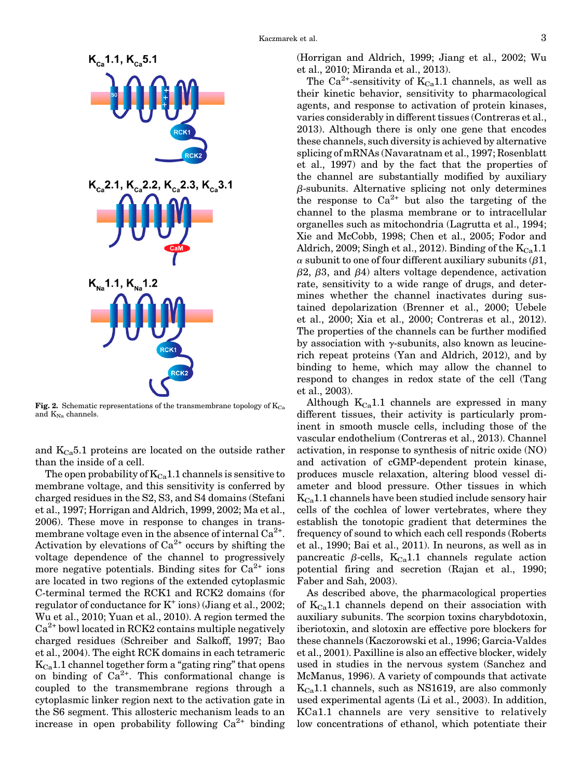

Fig. 2. Schematic representations of the transmembrane topology of  $K_{Ca}$ and  $K_{Na}$  channels.

and  $K_{Ca}5.1$  proteins are located on the outside rather than the inside of a cell.

The open probability of  $K_{Ca}1.1$  channels is sensitive to membrane voltage, and this sensitivity is conferred by charged residues in the S2, S3, and S4 domains (Stefani et al., 1997; Horrigan and Aldrich, 1999, 2002; Ma et al., 2006). These move in response to changes in transmembrane voltage even in the absence of internal  $Ca^{2+}$ . Activation by elevations of  $Ca^{2+}$  occurs by shifting the voltage dependence of the channel to progressively more negative potentials. Binding sites for  $Ca^{2+}$  ions are located in two regions of the extended cytoplasmic C-terminal termed the RCK1 and RCK2 domains (for regulator of conductance for  $K^+$  ions) (Jiang et al., 2002; Wu et al., 2010; Yuan et al., 2010). A region termed the  $Ca<sup>2+</sup>$  bowl located in RCK2 contains multiple negatively charged residues (Schreiber and Salkoff, 1997; Bao et al., 2004). The eight RCK domains in each tetrameric  $K_{Ca}$ 1.1 channel together form a "gating ring" that opens on binding of  $Ca^{2+}$ . This conformational change is coupled to the transmembrane regions through a cytoplasmic linker region next to the activation gate in the S6 segment. This allosteric mechanism leads to an increase in open probability following  $Ca^{2+}$  binding (Horrigan and Aldrich, 1999; Jiang et al., 2002; Wu et al., 2010; Miranda et al., 2013).

The Ca<sup>2+</sup>-sensitivity of  $K_{Ca}1.1$  channels, as well as their kinetic behavior, sensitivity to pharmacological agents, and response to activation of protein kinases, varies considerably in different tissues (Contreras et al., 2013). Although there is only one gene that encodes these channels, such diversity is achieved by alternative splicing of mRNAs (Navaratnam et al., 1997; Rosenblatt et al., 1997) and by the fact that the properties of the channel are substantially modified by auxiliary  $\beta$ -subunits. Alternative splicing not only determines the response to  $Ca^{2+}$  but also the targeting of the channel to the plasma membrane or to intracellular organelles such as mitochondria (Lagrutta et al., 1994; Xie and McCobb, 1998; Chen et al., 2005; Fodor and Aldrich, 2009; Singh et al., 2012). Binding of the  $K_{Ca}1.1$  $\alpha$  subunit to one of four different auxiliary subunits ( $\beta$ 1,  $\beta$ 2,  $\beta$ 3, and  $\beta$ 4) alters voltage dependence, activation rate, sensitivity to a wide range of drugs, and determines whether the channel inactivates during sustained depolarization (Brenner et al., 2000; Uebele et al., 2000; Xia et al., 2000; Contreras et al., 2012). The properties of the channels can be further modified by association with  $\gamma$ -subunits, also known as leucinerich repeat proteins (Yan and Aldrich, 2012), and by binding to heme, which may allow the channel to respond to changes in redox state of the cell (Tang et al., 2003).

Although  $K_{Ca}1.1$  channels are expressed in many different tissues, their activity is particularly prominent in smooth muscle cells, including those of the vascular endothelium (Contreras et al., 2013). Channel activation, in response to synthesis of nitric oxide (NO) and activation of cGMP-dependent protein kinase, produces muscle relaxation, altering blood vessel diameter and blood pressure. Other tissues in which  $K_{Ca}1.1$  channels have been studied include sensory hair cells of the cochlea of lower vertebrates, where they establish the tonotopic gradient that determines the frequency of sound to which each cell responds (Roberts et al., 1990; Bai et al., 2011). In neurons, as well as in pancreatic  $\beta$ -cells, K<sub>Ca</sub>1.1 channels regulate action potential firing and secretion (Rajan et al., 1990; Faber and Sah, 2003).

As described above, the pharmacological properties of  $K_{Ca}1.1$  channels depend on their association with auxiliary subunits. The scorpion toxins charybdotoxin, iberiotoxin, and slotoxin are effective pore blockers for these channels (Kaczorowski et al., 1996; Garcia-Valdes et al., 2001). Paxilline is also an effective blocker, widely used in studies in the nervous system (Sanchez and McManus, 1996). A variety of compounds that activate  $K_{Ca}1.1$  channels, such as NS1619, are also commonly used experimental agents (Li et al., 2003). In addition, KCa1.1 channels are very sensitive to relatively low concentrations of ethanol, which potentiate their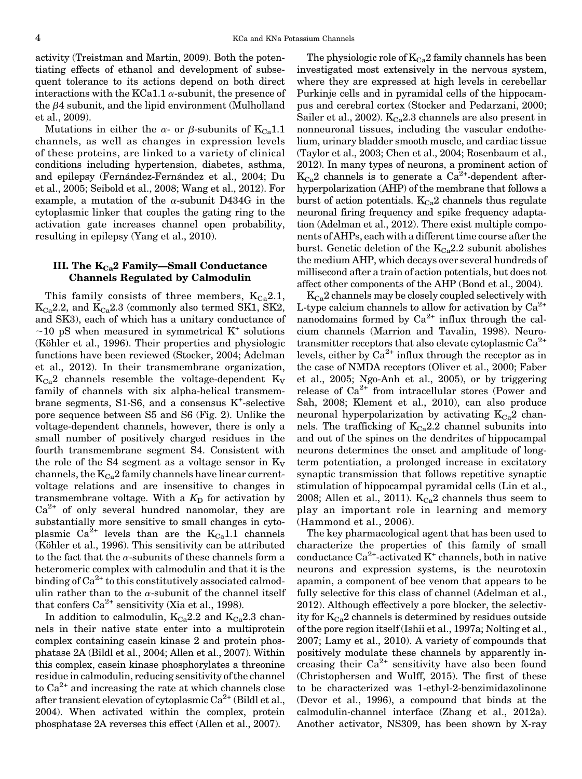<span id="page-3-0"></span>activity (Treistman and Martin, 2009). Both the potentiating effects of ethanol and development of subsequent tolerance to its actions depend on both direct interactions with the KCa1.1  $\alpha$ -subunit, the presence of the  $\beta$ 4 subunit, and the lipid environment (Mulholland et al., 2009).

Mutations in either the  $\alpha$ - or  $\beta$ -subunits of K<sub>Ca</sub>1.1 channels, as well as changes in expression levels of these proteins, are linked to a variety of clinical conditions including hypertension, diabetes, asthma, and epilepsy (Fernández-Fernández et al., 2004; Du et al., 2005; Seibold et al., 2008; Wang et al., 2012). For example, a mutation of the  $\alpha$ -subunit D434G in the cytoplasmic linker that couples the gating ring to the activation gate increases channel open probability, resulting in epilepsy (Yang et al., 2010).

### III. The  $K_{Ca}$ 2 Family—Small Conductance Channels Regulated by Calmodulin

This family consists of three members,  $K_{Ca}2.1$ ,  $K_{Ca}$ 2.2, and  $K_{Ca}$ 2.3 (commonly also termed SK1, SK2, and SK3), each of which has a unitary conductance of  $\sim$ 10 pS when measured in symmetrical K<sup>+</sup> solutions (Köhler et al., 1996). Their properties and physiologic functions have been reviewed (Stocker, 2004; Adelman et al., 2012). In their transmembrane organization,  $K<sub>Ca</sub>2$  channels resemble the voltage-dependent  $K<sub>V</sub>$ family of channels with six alpha-helical transmembrane segments, S1-S6, and a consensus K<sup>+</sup>-selective pore sequence between S5 and S6 (Fig. 2). Unlike the voltage-dependent channels, however, there is only a small number of positively charged residues in the fourth transmembrane segment S4. Consistent with the role of the S4 segment as a voltage sensor in  $K_V$ channels, the  $K_{Ca}2$  family channels have linear currentvoltage relations and are insensitive to changes in transmembrane voltage. With a  $K<sub>D</sub>$  for activation by  $Ca^{2+}$  of only several hundred nanomolar, they are substantially more sensitive to small changes in cytoplasmic Ca<sup>2+</sup> levels than are the  $K_{Ca}$ 1.1 channels (Köhler et al., 1996). This sensitivity can be attributed to the fact that the  $\alpha$ -subunits of these channels form a heteromeric complex with calmodulin and that it is the binding of  $Ca^{2+}$  to this constitutively associated calmodulin rather than to the  $\alpha$ -subunit of the channel itself that confers  $Ca^{2+}$  sensitivity (Xia et al., 1998).

In addition to calmodulin,  $K_{Ca}2.2$  and  $K_{Ca}2.3$  channels in their native state enter into a multiprotein complex containing casein kinase 2 and protein phosphatase 2A (Bildl et al., 2004; Allen et al., 2007). Within this complex, casein kinase phosphorylates a threonine residue in calmodulin, reducing sensitivity of the channel to  $Ca^{2+}$  and increasing the rate at which channels close after transient elevation of cytoplasmic  $Ca^{2+}$  (Bildl et al., 2004). When activated within the complex, protein phosphatase 2A reverses this effect (Allen et al., 2007).

The physiologic role of  $K_{Ca}2$  family channels has been investigated most extensively in the nervous system, where they are expressed at high levels in cerebellar Purkinje cells and in pyramidal cells of the hippocampus and cerebral cortex (Stocker and Pedarzani, 2000; Sailer et al., 2002).  $K_{Ca}2.3$  channels are also present in nonneuronal tissues, including the vascular endothelium, urinary bladder smooth muscle, and cardiac tissue (Taylor et al., 2003; Chen et al., 2004; Rosenbaum et al., 2012). In many types of neurons, a prominent action of  $K_{Ca}$ 2 channels is to generate a Ca<sup>2+</sup>-dependent afterhyperpolarization (AHP) of the membrane that follows a burst of action potentials.  $K<sub>Ca</sub>2$  channels thus regulate neuronal firing frequency and spike frequency adaptation (Adelman et al., 2012). There exist multiple components of AHPs, each with a different time course after the burst. Genetic deletion of the  $K_{Ca}2.2$  subunit abolishes the medium AHP, which decays over several hundreds of millisecond after a train of action potentials, but does not affect other components of the AHP (Bond et al., 2004).

 $K_{Ca}2$  channels may be closely coupled selectively with L-type calcium channels to allow for activation by  $Ca^{2+}$ nanodomains formed by  $Ca^{2+}$  influx through the calcium channels (Marrion and Tavalin, 1998). Neurotransmitter receptors that also elevate cytoplasmic  $Ca^{2+}$ levels, either by  $Ca^{2+}$  influx through the receptor as in the case of NMDA receptors (Oliver et al., 2000; Faber et al., 2005; Ngo-Anh et al., 2005), or by triggering release of  $Ca^{2+}$  from intracellular stores (Power and Sah, 2008; Klement et al., 2010), can also produce neuronal hyperpolarization by activating  $K_{Ca}2$  channels. The trafficking of  $K_{Ca}2.2$  channel subunits into and out of the spines on the dendrites of hippocampal neurons determines the onset and amplitude of longterm potentiation, a prolonged increase in excitatory synaptic transmission that follows repetitive synaptic stimulation of hippocampal pyramidal cells (Lin et al., 2008; Allen et al., 2011).  $K_{Ca}2$  channels thus seem to play an important role in learning and memory (Hammond et al., 2006).

The key pharmacological agent that has been used to characterize the properties of this family of small conductance  $Ca^{2+}$ -activated K<sup>+</sup> channels, both in native neurons and expression systems, is the neurotoxin apamin, a component of bee venom that appears to be fully selective for this class of channel (Adelman et al., 2012). Although effectively a pore blocker, the selectivity for  $K_{Ca}2$  channels is determined by residues outside of the pore region itself (Ishii et al., 1997a; Nolting et al., 2007; Lamy et al., 2010). A variety of compounds that positively modulate these channels by apparently increasing their  $Ca^{2+}$  sensitivity have also been found (Christophersen and Wulff, 2015). The first of these to be characterized was 1-ethyl-2-benzimidazolinone (Devor et al., 1996), a compound that binds at the calmodulin-channel interface (Zhang et al., 2012a). Another activator, NS309, has been shown by X-ray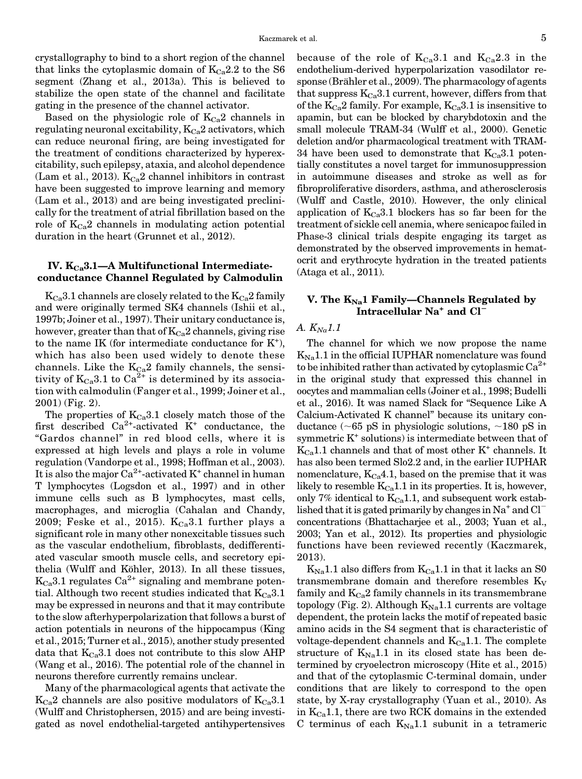<span id="page-4-0"></span>crystallography to bind to a short region of the channel that links the cytoplasmic domain of  $K_{Ca}2.2$  to the S6 segment (Zhang et al., 2013a). This is believed to stabilize the open state of the channel and facilitate gating in the presence of the channel activator.

Based on the physiologic role of  $K_{Ca}2$  channels in regulating neuronal excitability,  $K_{Ca}2$  activators, which can reduce neuronal firing, are being investigated for the treatment of conditions characterized by hyperexcitability, such epilepsy, ataxia, and alcohol dependence (Lam et al., 2013).  $K_{Ca}2$  channel inhibitors in contrast have been suggested to improve learning and memory (Lam et al., 2013) and are being investigated preclinically for the treatment of atrial fibrillation based on the role of  $K_{Ca}2$  channels in modulating action potential duration in the heart (Grunnet et al., 2012).

#### IV.  $K_{Cs}$ 3.1—A Multifunctional Intermediateconductance Channel Regulated by Calmodulin

 $K_{Ca}$ 3.1 channels are closely related to the  $K_{Ca}$ 2 family and were originally termed SK4 channels (Ishii et al., 1997b; Joiner et al., 1997). Their unitary conductance is, however, greater than that of  $K_{Ca}2$  channels, giving rise to the name IK (for intermediate conductance for  $K^+$ ), which has also been used widely to denote these channels. Like the  $K_{Ca}2$  family channels, the sensitivity of  $K_{Ca}3.1$  to  $Ca^{\frac{5}{2+}}$  is determined by its association with calmodulin (Fanger et al., 1999; Joiner et al., 2001) (Fig. 2).

The properties of  $K_{Ca}3.1$  closely match those of the first described  $Ca^{2+}$ -activated  $K^+$  conductance, the "Gardos channel" in red blood cells, where it is expressed at high levels and plays a role in volume regulation (Vandorpe et al., 1998; Hoffman et al., 2003). It is also the major  $Ca^{2+}$ -activated K<sup>+</sup> channel in human T lymphocytes (Logsdon et al., 1997) and in other immune cells such as B lymphocytes, mast cells, macrophages, and microglia (Cahalan and Chandy, 2009; Feske et al., 2015).  $K_{Ca}3.1$  further plays a significant role in many other nonexcitable tissues such as the vascular endothelium, fibroblasts, dedifferentiated vascular smooth muscle cells, and secretory epithelia (Wulff and Köhler, 2013). In all these tissues,  $K_{Ca}3.1$  regulates  $Ca^{2+}$  signaling and membrane potential. Although two recent studies indicated that  $K_{Ca}3.1$ may be expressed in neurons and that it may contribute to the slow afterhyperpolarization that follows a burst of action potentials in neurons of the hippocampus (King et al., 2015; Turner et al., 2015), another study presented data that  $K_{Ca}3.1$  does not contribute to this slow AHP (Wang et al., 2016). The potential role of the channel in neurons therefore currently remains unclear.

Many of the pharmacological agents that activate the  $K_{Ca}$ 2 channels are also positive modulators of  $K_{Ca}$ 3.1 (Wulff and Christophersen, 2015) and are being investigated as novel endothelial-targeted antihypertensives because of the role of  $K_{Ca}3.1$  and  $K_{Ca}2.3$  in the endothelium-derived hyperpolarization vasodilator response (Brähler et al., 2009). The pharmacology of agents that suppress  $K_{Ca}3.1$  current, however, differs from that of the  $K_{Ca}2$  family. For example,  $K_{Ca}3.1$  is insensitive to apamin, but can be blocked by charybdotoxin and the small molecule TRAM-34 (Wulff et al., 2000). Genetic deletion and/or pharmacological treatment with TRAM-34 have been used to demonstrate that  $K_{Ca}3.1$  potentially constitutes a novel target for immunosuppression in autoimmune diseases and stroke as well as for fibroproliferative disorders, asthma, and atherosclerosis (Wulff and Castle, 2010). However, the only clinical application of  $K_{Ca}3.1$  blockers has so far been for the treatment of sickle cell anemia, where senicapoc failed in Phase-3 clinical trials despite engaging its target as demonstrated by the observed improvements in hematocrit and erythrocyte hydration in the treated patients (Ataga et al., 2011).

## V. The  $K_{Na}1$  Family—Channels Regulated by Intracellular Na<sup>+</sup> and Cl<sup>1</sup>

#### A.  $K_{Na}1.1$

The channel for which we now propose the name  $K_{\text{Na}}1.1$  in the official IUPHAR nomenclature was found to be inhibited rather than activated by cytoplasmic  $Ca^{2+}$ in the original study that expressed this channel in oocytes and mammalian cells (Joiner et al., 1998; Budelli et al., 2016). It was named Slack for "Sequence Like A Calcium-Activated K channel" because its unitary conductance ( $\sim$ 65 pS in physiologic solutions,  $\sim$ 180 pS in symmetric  $K^*$  solutions) is intermediate between that of  $K_{Ca}1.1$  channels and that of most other  $K^+$  channels. It has also been termed Slo2.2 and, in the earlier IUPHAR nomenclature,  $K_{Ca}4.1$ , based on the premise that it was likely to resemble  $K_{Ca}1.1$  in its properties. It is, however, only 7% identical to  $K_{Ca}1.1$ , and subsequent work established that it is gated primarily by changes in  $Na^+$  and  $Cl^$ concentrations (Bhattacharjee et al., 2003; Yuan et al., 2003; Yan et al., 2012). Its properties and physiologic functions have been reviewed recently (Kaczmarek, 2013).

 $K_{\text{Na}}1.1$  also differs from  $K_{\text{Ca}}1.1$  in that it lacks an S0 transmembrane domain and therefore resembles  $K_V$ family and  $K_{Ca}2$  family channels in its transmembrane topology (Fig. 2). Although  $K_{Na}1.1$  currents are voltage dependent, the protein lacks the motif of repeated basic amino acids in the S4 segment that is characteristic of voltage-dependent channels and  $K_{Ca}1.1$ . The complete structure of  $K_{\text{Na}}1.1$  in its closed state has been determined by cryoelectron microscopy (Hite et al., 2015) and that of the cytoplasmic C-terminal domain, under conditions that are likely to correspond to the open state, by X-ray crystallography (Yuan et al., 2010). As in  $K_{Ca}1.1$ , there are two RCK domains in the extended C terminus of each  $K_{\text{Na}}1.1$  subunit in a tetrameric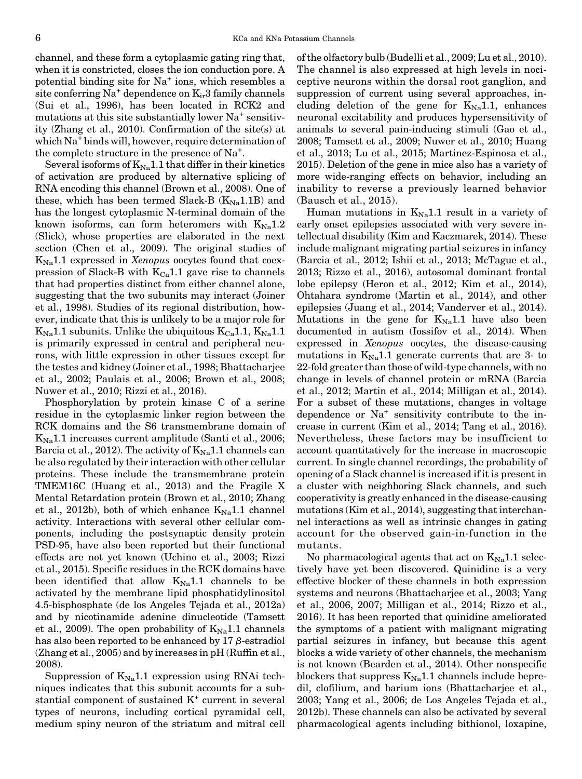channel, and these form a cytoplasmic gating ring that, when it is constricted, closes the ion conduction pore. A potential binding site for  $Na<sup>+</sup>$  ions, which resembles a site conferring  $Na^+$  dependence on  $K_{ir}3$  family channels (Sui et al., 1996), has been located in RCK2 and mutations at this site substantially lower  $Na<sup>+</sup>$  sensitivity (Zhang et al., 2010). Confirmation of the site(s) at which Na<sup>+</sup> binds will, however, require determination of the complete structure in the presence of Na<sup>+</sup>.

Several isoforms of  $K_{\text{Na}}1.1$  that differ in their kinetics of activation are produced by alternative splicing of RNA encoding this channel (Brown et al., 2008). One of these, which has been termed Slack-B  $(K_{Na}1.1B)$  and has the longest cytoplasmic N-terminal domain of the known isoforms, can form heteromers with  $K_{\text{Na}}1.2$ (Slick), whose properties are elaborated in the next section (Chen et al., 2009). The original studies of  $K_{\text{Na}}1.1$  expressed in Xenopus oocytes found that coexpression of Slack-B with  $K_{Ca}1.1$  gave rise to channels that had properties distinct from either channel alone, suggesting that the two subunits may interact (Joiner et al., 1998). Studies of its regional distribution, however, indicate that this is unlikely to be a major role for  $K_{\text{Na}}1.1$  subunits. Unlike the ubiquitous  $K_{\text{Ca}}1.1, K_{\text{Na}}1.1$ is primarily expressed in central and peripheral neurons, with little expression in other tissues except for the testes and kidney (Joiner et al., 1998; Bhattacharjee et al., 2002; Paulais et al., 2006; Brown et al., 2008; Nuwer et al., 2010; Rizzi et al., 2016).

Phosphorylation by protein kinase C of a serine residue in the cytoplasmic linker region between the RCK domains and the S6 transmembrane domain of  $K_{\text{Na}}1.1$  increases current amplitude (Santi et al., 2006; Barcia et al., 2012). The activity of  $K_{\text{Na}}1.1$  channels can be also regulated by their interaction with other cellular proteins. These include the transmembrane protein TMEM16C (Huang et al., 2013) and the Fragile X Mental Retardation protein (Brown et al., 2010; Zhang et al., 2012b), both of which enhance  $K_{Na}1.1$  channel activity. Interactions with several other cellular components, including the postsynaptic density protein PSD-95, have also been reported but their functional effects are not yet known (Uchino et al., 2003; Rizzi et al., 2015). Specific residues in the RCK domains have been identified that allow  $K_{\text{Na}}1.1$  channels to be activated by the membrane lipid phosphatidylinositol 4.5-bisphosphate (de los Angeles Tejada et al., 2012a) and by nicotinamide adenine dinucleotide (Tamsett et al., 2009). The open probability of  $K_{\text{Na}}1.1$  channels has also been reported to be enhanced by 17  $\beta$ -estradiol (Zhang et al., 2005) and by increases in pH (Ruffin et al., 2008).

Suppression of  $K_{\text{Na}}1.1$  expression using RNAi techniques indicates that this subunit accounts for a substantial component of sustained  $K^+$  current in several types of neurons, including cortical pyramidal cell, medium spiny neuron of the striatum and mitral cell of the olfactory bulb (Budelli et al., 2009; Lu et al., 2010). The channel is also expressed at high levels in nociceptive neurons within the dorsal root ganglion, and suppression of current using several approaches, including deletion of the gene for  $K_{\text{Na}}1.1$ , enhances neuronal excitability and produces hypersensitivity of animals to several pain-inducing stimuli (Gao et al., 2008; Tamsett et al., 2009; Nuwer et al., 2010; Huang et al., 2013; Lu et al., 2015; Martinez-Espinosa et al., 2015). Deletion of the gene in mice also has a variety of more wide-ranging effects on behavior, including an inability to reverse a previously learned behavior (Bausch et al., 2015).

Human mutations in  $K_{\text{Na}}1.1$  result in a variety of early onset epilepsies associated with very severe intellectual disability (Kim and Kaczmarek, 2014). These include malignant migrating partial seizures in infancy (Barcia et al., 2012; Ishii et al., 2013; McTague et al., 2013; Rizzo et al., 2016), autosomal dominant frontal lobe epilepsy (Heron et al., 2012; Kim et al., 2014), Ohtahara syndrome (Martin et al., 2014), and other epilepsies (Juang et al., 2014; Vanderver et al., 2014). Mutations in the gene for  $K_{\text{Na}}1.1$  have also been documented in autism (Iossifov et al., 2014). When expressed in Xenopus oocytes, the disease-causing mutations in  $K_{\text{Na}}1.1$  generate currents that are 3- to 22-fold greater than those of wild-type channels, with no change in levels of channel protein or mRNA (Barcia et al., 2012; Martin et al., 2014; Milligan et al., 2014). For a subset of these mutations, changes in voltage dependence or  $Na^+$  sensitivity contribute to the increase in current (Kim et al., 2014; Tang et al., 2016). Nevertheless, these factors may be insufficient to account quantitatively for the increase in macroscopic current. In single channel recordings, the probability of opening of a Slack channel is increased if it is present in a cluster with neighboring Slack channels, and such cooperativity is greatly enhanced in the disease-causing mutations (Kim et al., 2014), suggesting that interchannel interactions as well as intrinsic changes in gating account for the observed gain-in-function in the mutants.

No pharmacological agents that act on  $K_{\text{Na}}1.1$  selectively have yet been discovered. Quinidine is a very effective blocker of these channels in both expression systems and neurons (Bhattacharjee et al., 2003; Yang et al., 2006, 2007; Milligan et al., 2014; Rizzo et al., 2016). It has been reported that quinidine ameliorated the symptoms of a patient with malignant migrating partial seizures in infancy, but because this agent blocks a wide variety of other channels, the mechanism is not known (Bearden et al., 2014). Other nonspecific blockers that suppress  $K_{\text{Na}}1.1$  channels include bepredil, clofilium, and barium ions (Bhattacharjee et al., 2003; Yang et al., 2006; de Los Angeles Tejada et al., 2012b). These channels can also be activated by several pharmacological agents including bithionol, loxapine,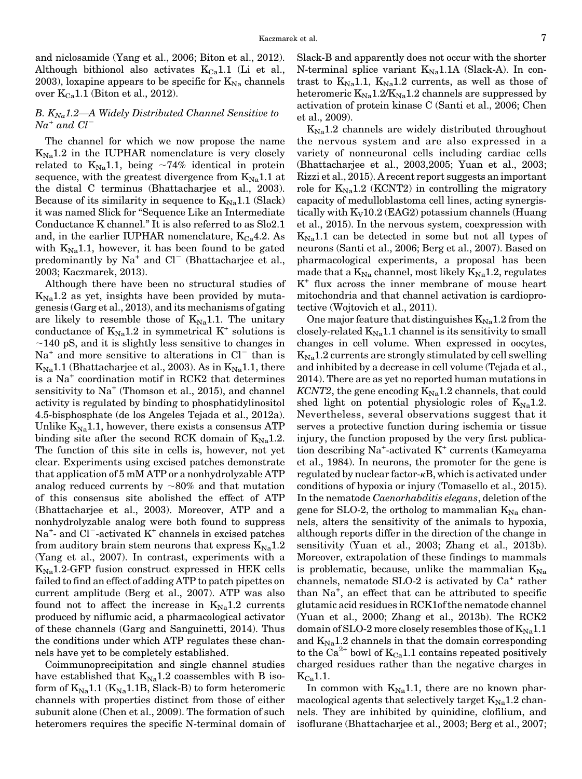<span id="page-6-0"></span>and niclosamide (Yang et al., 2006; Biton et al., 2012). Although bithionol also activates  $K_{Ca}1.1$  (Li et al., 2003), loxapine appears to be specific for  $K_{\text{Na}}$  channels over  $K_{Ca}1.1$  (Biton et al., 2012).

#### B.  $K_{Na}1.2$ —A Widely Distributed Channel Sensitive to  $Na^{+}$  and  $Cl^{-}$

The channel for which we now propose the name  $K_{\text{Na}}1.2$  in the IUPHAR nomenclature is very closely related to  $K_{\text{Na}}1.1$ , being  $\sim74\%$  identical in protein sequence, with the greatest divergence from  $K_{\text{Na}}1.1$  at the distal C terminus (Bhattacharjee et al., 2003). Because of its similarity in sequence to  $K_{\text{Na}}1.1$  (Slack) it was named Slick for "Sequence Like an Intermediate Conductance K channel." It is also referred to as Slo2.1 and, in the earlier IUPHAR nomenclature,  $K_{Ca}4.2$ . As with  $K_{\text{Na}}1.1$ , however, it has been found to be gated predominantly by  $Na^+$  and  $Cl^-$  (Bhattacharjee et al., 2003; Kaczmarek, 2013).

Although there have been no structural studies of  $K_{\text{Na}}1.2$  as yet, insights have been provided by mutagenesis (Garg et al., 2013), and its mechanisms of gating are likely to resemble those of  $K_{\text{Na}}1.1$ . The unitary conductance of  $K_{\text{Na}}1.2$  in symmetrical K<sup>+</sup> solutions is  $\sim$ 140 pS, and it is slightly less sensitive to changes in  $Na<sup>+</sup>$  and more sensitive to alterations in  $Cl<sup>-</sup>$  than is  $K_{\text{Na}}1.1$  (Bhattacharjee et al., 2003). As in  $K_{\text{Na}}1.1$ , there is a Na<sup>+</sup> coordination motif in RCK2 that determines sensitivity to  $Na<sup>+</sup>$  (Thomson et al., 2015), and channel activity is regulated by binding to phosphatidylinositol 4.5-bisphosphate (de los Angeles Tejada et al., 2012a). Unlike  $K_{\text{Na}}1.1$ , however, there exists a consensus ATP binding site after the second RCK domain of  $K_{\text{Na}}1.2$ . The function of this site in cells is, however, not yet clear. Experiments using excised patches demonstrate that application of 5 mM ATP or a nonhydrolyzable ATP analog reduced currents by  $~80\%$  and that mutation of this consensus site abolished the effect of ATP (Bhattacharjee et al., 2003). Moreover, ATP and a nonhydrolyzable analog were both found to suppress Na<sup>+</sup>- and Cl<sup>-</sup>-activated K<sup>+</sup> channels in excised patches from auditory brain stem neurons that express  $K_{\text{Na}}1.2$ (Yang et al., 2007). In contrast, experiments with a  $K_{N_a}$ 1.2-GFP fusion construct expressed in HEK cells failed to find an effect of adding ATP to patch pipettes on current amplitude (Berg et al., 2007). ATP was also found not to affect the increase in  $K_{\text{Na}}1.2$  currents produced by niflumic acid, a pharmacological activator of these channels (Garg and Sanguinetti, 2014). Thus the conditions under which ATP regulates these channels have yet to be completely established.

Coimmunoprecipitation and single channel studies have established that  $K_{\text{Na}}1.2$  coassembles with B isoform of  $K_{Na}1.1$  ( $K_{Na}1.1B$ , Slack-B) to form heteromeric channels with properties distinct from those of either subunit alone (Chen et al., 2009). The formation of such heteromers requires the specific N-terminal domain of Slack-B and apparently does not occur with the shorter N-terminal splice variant  $K_{\text{Na}}1.1$ A (Slack-A). In contrast to  $K_{\text{Na}}1.1$ ,  $K_{\text{Na}}1.2$  currents, as well as those of heteromeric  $K_{\text{Na}}1.2/K_{\text{Na}}1.2$  channels are suppressed by activation of protein kinase C (Santi et al., 2006; Chen et al., 2009).

 $K_{\text{Na}}1.2$  channels are widely distributed throughout the nervous system and are also expressed in a variety of nonneuronal cells including cardiac cells (Bhattacharjee et al., 2003,2005; Yuan et al., 2003; Rizzi et al., 2015). A recent report suggests an important role for  $K_{\text{Na}}1.2$  (KCNT2) in controlling the migratory capacity of medulloblastoma cell lines, acting synergistically with  $K_V10.2$  (EAG2) potassium channels (Huang et al., 2015). In the nervous system, coexpression with  $K_{\text{Na}}1.1$  can be detected in some but not all types of neurons (Santi et al., 2006; Berg et al., 2007). Based on pharmacological experiments, a proposal has been made that a  $K_{\text{Na}}$  channel, most likely  $K_{\text{Na}}1.2$ , regulates K<sup>+</sup> flux across the inner membrane of mouse heart mitochondria and that channel activation is cardioprotective (Wojtovich et al., 2011).

One major feature that distinguishes  $K_{\text{Na}}1.2$  from the closely-related  $K_{\text{Na}}1.1$  channel is its sensitivity to small changes in cell volume. When expressed in oocytes,  $K_{\text{Na}}1.2$  currents are strongly stimulated by cell swelling and inhibited by a decrease in cell volume (Tejada et al., 2014). There are as yet no reported human mutations in KCNT2, the gene encoding  $K_{\text{Na}}1.2$  channels, that could shed light on potential physiologic roles of  $K_{\text{Na}}1.2$ . Nevertheless, several observations suggest that it serves a protective function during ischemia or tissue injury, the function proposed by the very first publication describing Na<sup>+</sup> -activated K+ currents (Kameyama et al., 1984). In neurons, the promoter for the gene is regulated by nuclear factor-kB, which is activated under conditions of hypoxia or injury (Tomasello et al., 2015). In the nematode Caenorhabditis elegans, deletion of the gene for SLO-2, the ortholog to mammalian  $K_{Na}$  channels, alters the sensitivity of the animals to hypoxia, although reports differ in the direction of the change in sensitivity (Yuan et al., 2003; Zhang et al., 2013b). Moreover, extrapolation of these findings to mammals is problematic, because, unlike the mammalian  $K_{Na}$ channels, nematode SLO-2 is activated by  $Ca^+$  rather than Na<sup>+</sup> , an effect that can be attributed to specific glutamic acid residues in RCK1of the nematode channel (Yuan et al., 2000; Zhang et al., 2013b). The RCK2 domain of SLO-2 more closely resembles those of  $K_{\text{Na}}1.1$ and  $K_{\text{Na}}1.2$  channels in that the domain corresponding to the Ca<sup>2+</sup> bowl of  $K_{Ca}$ 1.1 contains repeated positively charged residues rather than the negative charges in  $K_{Ca}$ 1.1.

In common with  $K_{Na}1.1$ , there are no known pharmacological agents that selectively target  $K_{\text{Na}}1.2$  channels. They are inhibited by quinidine, clofilium, and isoflurane (Bhattacharjee et al., 2003; Berg et al., 2007;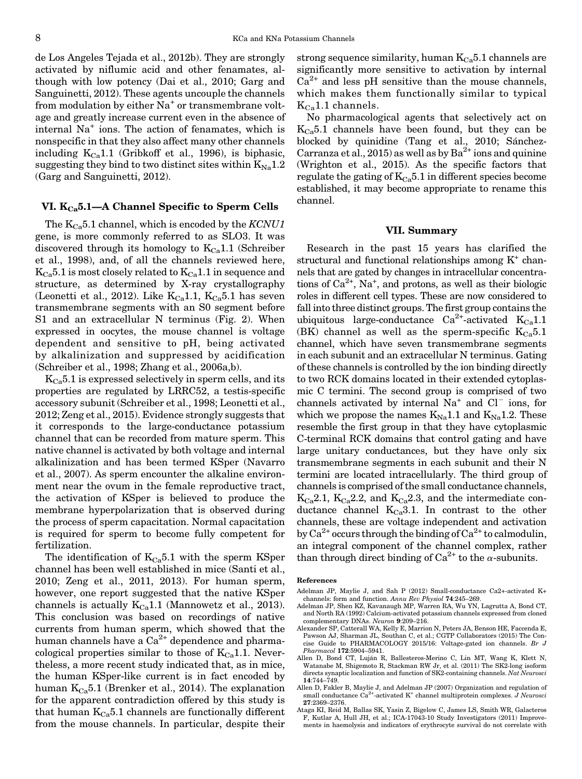<span id="page-7-0"></span>de Los Angeles Tejada et al., 2012b). They are strongly activated by niflumic acid and other fenamates, although with low potency (Dai et al., 2010; Garg and Sanguinetti, 2012). These agents uncouple the channels from modulation by either  $Na<sup>+</sup>$  or transmembrane voltage and greatly increase current even in the absence of internal Na<sup>+</sup> ions. The action of fenamates, which is nonspecific in that they also affect many other channels including  $K_{Ca}1.1$  (Gribkoff et al., 1996), is biphasic, suggesting they bind to two distinct sites within  $K_{\text{Na}}1.2$ (Garg and Sanguinetti, 2012).

#### VI.  $K_{Ca}$ 5.1—A Channel Specific to Sperm Cells

The  $K_{Ca}$ 5.1 channel, which is encoded by the KCNU1 gene, is more commonly referred to as SLO3. It was discovered through its homology to  $K_{Ca}1.1$  (Schreiber et al., 1998), and, of all the channels reviewed here,  $K_{Ca}5.1$  is most closely related to  $K_{Ca}1.1$  in sequence and structure, as determined by X-ray crystallography (Leonetti et al., 2012). Like  $K_{Ca}1.1, K_{Ca}5.1$  has seven transmembrane segments with an S0 segment before S1 and an extracellular N terminus (Fig. 2). When expressed in oocytes, the mouse channel is voltage dependent and sensitive to pH, being activated by alkalinization and suppressed by acidification (Schreiber et al., 1998; Zhang et al., 2006a,b).

 $K<sub>Ca</sub>5.1$  is expressed selectively in sperm cells, and its properties are regulated by LRRC52, a testis-specific accessory subunit (Schreiber et al., 1998; Leonetti et al., 2012; Zeng et al., 2015). Evidence strongly suggests that it corresponds to the large-conductance potassium channel that can be recorded from mature sperm. This native channel is activated by both voltage and internal alkalinization and has been termed KSper (Navarro et al., 2007). As sperm encounter the alkaline environment near the ovum in the female reproductive tract, the activation of KSper is believed to produce the membrane hyperpolarization that is observed during the process of sperm capacitation. Normal capacitation is required for sperm to become fully competent for fertilization.

The identification of  $K_{Ca}5.1$  with the sperm KSper channel has been well established in mice (Santi et al., 2010; Zeng et al., 2011, 2013). For human sperm, however, one report suggested that the native KSper channels is actually  $K_{Ca}1.1$  (Mannowetz et al., 2013). This conclusion was based on recordings of native currents from human sperm, which showed that the human channels have a  $Ca^{2+}$  dependence and pharmacological properties similar to those of  $K_{Ca}1.1$ . Nevertheless, a more recent study indicated that, as in mice, the human KSper-like current is in fact encoded by human  $K_{Ca}5.1$  (Brenker et al., 2014). The explanation for the apparent contradiction offered by this study is that human  $K_{Ca}5.1$  channels are functionally different from the mouse channels. In particular, despite their strong sequence similarity, human  $K_{Ca}5.1$  channels are significantly more sensitive to activation by internal  $Ca^{2+}$  and less pH sensitive than the mouse channels, which makes them functionally similar to typical  $K_{Ca}$ 1.1 channels.

No pharmacological agents that selectively act on  $K_{Ca}5.1$  channels have been found, but they can be blocked by quinidine (Tang et al., 2010; Sánchez-Carranza et al., 2015) as well as by  $Ba^{2+}$  ions and quinine (Wrighton et al., 2015). As the specific factors that regulate the gating of  $K_{Ca}5.1$  in different species become established, it may become appropriate to rename this channel.

#### VII. Summary

Research in the past 15 years has clarified the structural and functional relationships among  $K^+$  channels that are gated by changes in intracellular concentrations of  $Ca^{2+}$ , Na<sup>+</sup>, and protons, as well as their biologic roles in different cell types. These are now considered to fall into three distinct groups. The first group contains the ubiquitous large-conductance  $Ca^{2+}$ -activated  $K_{Ca}1.1$ (BK) channel as well as the sperm-specific  $K_{Ca}5.1$ channel, which have seven transmembrane segments in each subunit and an extracellular N terminus. Gating of these channels is controlled by the ion binding directly to two RCK domains located in their extended cytoplasmic C termini. The second group is comprised of two channels activated by internal  $Na<sup>+</sup>$  and  $Cl<sup>-</sup>$  ions, for which we propose the names  $K_{\text{Na}}1.1$  and  $K_{\text{Na}}1.2$ . These resemble the first group in that they have cytoplasmic C-terminal RCK domains that control gating and have large unitary conductances, but they have only six transmembrane segments in each subunit and their N termini are located intracellularly. The third group of channels is comprised of the small conductance channels,  $K_{Ca}$ 2.1,  $K_{Ca}$ 2.2, and  $K_{Ca}$ 2.3, and the intermediate conductance channel  $K_{Ca}3.1$ . In contrast to the other channels, these are voltage independent and activation by  $Ca^{2+}$  occurs through the binding of  $Ca^{2+}$  to calmodulin, an integral component of the channel complex, rather than through direct binding of  $Ca^{2+}$  to the  $\alpha$ -subunits.

#### References

- Adelman JP, Maylie J, and Sah P (2012) Small-conductance Ca2+-activated K+ channels: form and function. Annu Rev Physiol 74:245–269.
- Adelman JP, Shen KZ, Kavanaugh MP, Warren RA, Wu YN, Lagrutta A, Bond CT, and North RA (1992) Calcium-activated potassium channels expressed from cloned complementary DNAs. Neuron 9:209–216.
- Alexander SP, Catterall WA, Kelly E, Marrion N, Peters JA, Benson HE, Faccenda E, Pawson AJ, Sharman JL, Southan C, et al.; CGTP Collaborators (2015) The Concise Guide to PHARMACOLOGY 2015/16: Voltage-gated ion channels. Br J Pharmacol 172:5904–5941.
- Allen D, Bond CT, Luján R, Ballesteros-Merino C, Lin MT, Wang K, Klett N, Watanabe M, Shigemoto R, Stackman RW Jr, et al. (2011) The SK2-long isoform directs synaptic localization and function of SK2-containing channels. Nat Neurosci 14:744–749.
- Allen D, Fakler B, Maylie J, and Adelman JP (2007) Organization and regulation of small conductance  $Ca^{2+}$ -activated K<sup>+</sup> channel multiprotein complexes. J Neurosci 27:2369–2376.
- Ataga KI, Reid M, Ballas SK, Yasin Z, Bigelow C, James LS, Smith WR, Galacteros F, Kutlar A, Hull JH, et al.; ICA-17043-10 Study Investigators (2011) Improvements in haemolysis and indicators of erythrocyte survival do not correlate with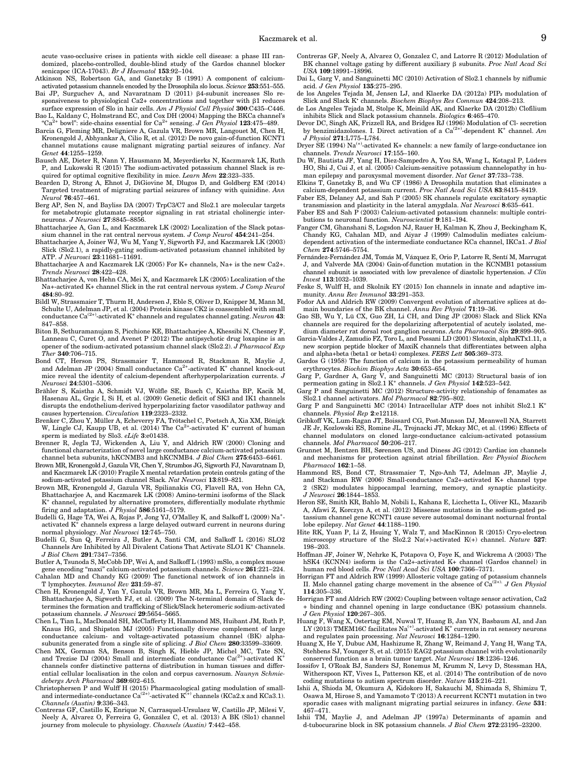acute vaso-occlusive crises in patients with sickle cell disease: a phase III randomized, placebo-controlled, double-blind study of the Gardos channel blocker senicapoc (ICA-17043). Br J Haematol 153:92-104.

Atkinson NS, Robertson GA, and Ganetzky B (1991) A component of calciumactivated potassium channels encoded by the Drosophila slo locus. Science 253:551–555.

Bai JP, Surguchev A, and Navaratnam D (2011)  $\beta$ 4-subunit increases Slo responsiveness to physiological Ca2+ concentrations and together with  $\beta$ 1 reduces surface expression of Slo in hair cells. Am J Physiol Cell Physiol  $300C435-$ C446.

Bao L, Kaldany C, Holmstrand EC, and Cox DH (2004) Mapping the BKCa channel's "Ca<sup>2+</sup> bowl": side-chains essential for Ca<sup>2+</sup> sensing. J Gen Physiol **123**:475–489.

Barcia G, Fleming MR, Deligniere A, Gazula VR, Brown MR, Langouet M, Chen H, Kronengold J, Abhyankar A, Cilio R, et al. (2012) De novo gain-of-function KCNT1 channel mutations cause malignant migrating partial seizures of infancy. Nat Genet 44:1255–1259.

- Bausch AE, Dieter R, Nann Y, Hausmann M, Meyerdierks N, Kaczmarek LK, Ruth P, and Lukowski R (2015) The sodium-activated potassium channel Slack is required for optimal cognitive flexibility in mice. Learn Mem 22:323-335.
- Bearden D, Strong A, Ehnot J, DiGiovine M, Dlugos D, and Goldberg EM (2014) Targeted treatment of migrating partial seizures of infancy with quinidine. Ann Neurol 76:457–461.
- Berg AP, Sen N, and Bayliss DA (2007) TrpC3/C7 and Slo2.1 are molecular targets for metabotropic glutamate receptor signaling in rat striatal cholinergic interneurons. J Neurosci 27:8845–8856.
- Bhattacharjee A, Gan L, and Kaczmarek LK (2002) Localization of the Slack potassium channel in the rat central nervous system. J Comp Neurol 454:241–254.<br>Bhattacharjee A, Joiner WJ, Wu M, Yang Y, Sigworth FJ, and Kaczmarek LK (2003)
- Slick (Slo2.1), a rapidly-gating sodium-activated potassium channel inhibited by ATP. J Neurosci 23:11681–11691.

Bhattacharjee A and Kaczmarek LK (2005) For K+ channels, Na+ is the new Ca2+. Trends Neurosci 28:422–428.

- Bhattacharjee A, von Hehn CA, Mei X, and Kaczmarek LK (2005) Localization of the Na+-activated K+ channel Slick in the rat central nervous system. J Comp Neurol 484:80–92.
- Bildl W, Strassmaier T, Thurm H, Andersen J, Eble S, Oliver D, Knipper M, Mann M, Schulte U, Adelman JP, et al. (2004) Protein kinase CK2 is coassembled with small conductance  $Ca^{(2+)}$ -activated K<sup>+</sup> channels and regulates channel gating. Neuron 43: 847–858.
- Biton B, Sethuramanujam S, Picchione KE, Bhattacharjee A, Khessibi N, Chesney F, Lanneau C, Curet O, and Avenet P (2012) The antipsychotic drug loxapine is an opener of the sodium-activated potassium channel slack (Slo2.2). J Pharmacol Exp  $\hat{The}$  340:706-715.
- Bond CT, Herson PS, Strassmaier T, Hammond R, Stackman R, Maylie J, and Adelman JP (2004) Small conductance  $Ca^{2+}$ -activated K<sup>+</sup> channel knock-out mice reveal the identity of calcium-dependent after<br>hyperpolarization currents.  ${\cal J}$ Neurosci 24:5301–5306.
- Brähler S, Kaistha A, Schmidt VJ, Wölfle SE, Busch C, Kaistha BP, Kacik M, Hasenau AL, Grgic I, Si H, et al. (2009) Genetic deficit of SK3 and IK1 channels disrupts the endothelium-derived hyperpolarizing factor vasodilator pathway and causes hypertension. Circulation 119:2323–2332.
- Brenker C, Zhou Y, Müller A, Echeverry FA, Trötschel C, Poetsch A, Xia XM, Bönigk W, Lingle CJ, Kaupp UB, et al. (2014) The Ca<sup>2+</sup>-activated K<sup>+</sup> current of human sperm is mediated by Slo3. eLife 3:e01438.
- Brenner R, Jegla TJ, Wickenden A, Liu Y, and Aldrich RW (2000) Cloning and functional characterization of novel large conductance calcium-activated potassium channel beta subunits, hKCNMB3 and hKCNMB4. J Biol Chem 275:6453–6461.
- Brown MR, Kronengold J, Gazula VR, Chen Y, Strumbos JG, Sigworth FJ, Navaratnam D, and Kaczmarek LK (2010) Fragile X mental retardation protein controls gating of the sodium-activated potassium channel Slack. Nat Neurosci 13:819–821.
- Brown MR, Kronengold J, Gazula VR, Spilianakis CG, Flavell RA, von Hehn CA, Bhattacharjee A, and Kaczmarek LK (2008) Amino-termini isoforms of the Slack  $\mathrm{K}^{\mathrm{+}}$  channel, regulated by alternative promoters, differentially modulate rhythmic firing and adaptation. J Physiol 586:5161–5179.
- Budelli G, Hage TA, Wei A, Rojas P, Jong YJ, O'Malley K, and Salkoff L (2009) Na<sup>+</sup>activated K+ channels express a large delayed outward current in neurons during normal physiology. Nat Neurosci 12:745-750.
- Budelli G, Sun Q, Ferreira J, Butler A, Santi CM, and Salkoff L (2016) SLO2 Channels Are Inhibited by All Divalent Cations That Activate SLO1 K+ Channels. J Biol Chem 291:7347–7356.

Butler A, Tsunoda S, McCobb DP, Wei A, and Salkoff L (1993) mSlo, a complex mouse gene encoding "maxi" calcium-activated potassium channels. Science 261:221-224.

Cahalan MD and Chandy KG (2009) The functional network of ion channels in T lymphocytes. Immunol Rev 231:59–87.

- Chen H, Kronengold J, Yan Y, Gazula VR, Brown MR, Ma L, Ferreira G, Yang Y, Bhattacharjee A, Sigworth FJ, et al. (2009) The N-terminal domain of Slack determines the formation and trafficking of Slick/Slack heteromeric sodium-activated potassium channels. J Neurosci 29:5654–5665.
- Chen L, Tian L, MacDonald SH, McClafferty H, Hammond MS, Huibant JM, Ruth P, Knaus HG, and Shipston MJ (2005) Functionally diverse complement of large conductance calcium- and voltage-activated potassium channel (BK) alphasubunits generated from a single site of splicing. J Biol Chem 280:33599–33609.
- Chen MX, Gorman SA, Benson B, Singh K, Hieble JP, Michel MC, Tate SN, and Trezise DJ (2004) Small and intermediate conductance  $Ca^{(2+)}$ -activated K<sup>+</sup> channels confer distinctive patterns of distribution in human tissues and differential cellular localisation in the colon and corpus cavernosum. Naunyn Schmiedebergs Arch Pharmacol 369:602–615.
- Christophersen P and Wulff H (2015) Pharmacological gating modulation of smalland intermediate-conductance  $Ca^{(2+)}$ -activated  $K^{(+)}$  channels (KCa2.x and KCa3.1). Channels (Austin) 9:336–343.
- Contreras GF, Castillo K, Enrique N, Carrasquel-Ursulaez W, Castillo JP, Milesi V, Neely A, Alvarez O, Ferreira G, González C, et al. (2013) A BK (Slo1) channel journey from molecule to physiology. Channels (Austin) 7:442–458.
- Contreras GF, Neely A, Alvarez O, Gonzalez C, and Latorre R (2012) Modulation of BK channel voltage gating by different auxiliary  $\upbeta$  subunits. Proc Natl Acad Sci USA 109:18991–18996.
- Dai L, Garg V, and Sanguinetti MC (2010) Activation of Slo2.1 channels by niflumic acid. J Gen Physiol 135:275–295.
- de los Angeles Tejada M, Jensen LJ, and Klaerke DA (2012a) PIP₂ modulation of Slick and Slack K<sup>\*</sup> channels. Biochem Biophys Res Commun 424:208-213. de Los Angeles Tejada M, Stolpe K, Meinild AK, and Klaerke DA (2012b) Clofilium
- inhibits Slick and Slack potassium channels. Biologics 6:465–470. Devor DC, Singh AK, Frizzell RA, and Bridges RJ (1996) Modulation of Cl- secretion
- by benzimidazolones. I. Direct activation of a  $Ca^{(2+)}$ -dependent  $K^+$  channel. Am J Physiol 271:L775–L784.

Dryer SE (1994)  $Na^{(+)}$ -activated K+ channels: a new family of large-conductance ion channels. Trends Neurosci 17:155–160.

- Du W, Bautista JF, Yang H, Diez-Sampedro A, You SA, Wang L, Kotagal P, Lüders HO, Shi J, Cui J, et al. (2005) Calcium-sensitive potassium channelopathy in human epilepsy and paroxysmal movement disorder. Nat Genet 37:733-738.
- Elkins T, Ganetzky B, and Wu CF (1986) A Drosophila mutation that eliminates a calcium-dependent potassium current. Proc Natl Acad Sci USA 83:8415–8419.
- Faber ES, Delaney AJ, and Sah P (2005) SK channels regulate excitatory synaptic transmission and plasticity in the lateral amygdala. Nat Neurosci 8:635–641.
- Faber ES and Sah P (2003) Calcium-activated potassium channels: multiple contributions to neuronal function. Neuroscientist  $\hat{9:}181-194$ .
- Fanger CM, Ghanshani S, Logsdon NJ, Rauer H, Kalman K, Zhou J, Beckingham K, Chandy KG, Cahalan MD, and Aiyar J (1999) Calmodulin mediates calciumdependent activation of the intermediate conductance KCa channel, IKCa1. J Biol Chem 274:5746–5754.
- Fernández-Fernández JM, Tomás M, Vázquez E, Orio P, Latorre R, Sentí M, Marrugat J, and Valverde MA (2004) Gain-of-function mutation in the KCNMB1 potassium channel subunit is associated with low prevalence of diastolic hypertension. J Clin Invest 113:1032–1039.
- Feske S, Wulff H, and Skolnik EY (2015) Ion channels in innate and adaptive immunity. Annu Rev Immunol 33:291-353.
- Fodor AA and Aldrich RW (2009) Convergent evolution of alternative splices at domain boundaries of the BK channel. Annu Rev Physiol 71:19–36.
- Gao SB, Wu Y, Lü CX, Guo ZH, Li CH, and Ding JP (2008) Slack and Slick KNa channels are required for the depolarizing afterpotential of acutely isolated, medium diameter rat dorsal root ganglion neurons. Acta Pharmacol Sin 29:899–905.
- Garcia-Valdes J, Zamudio FZ, Toro L, and Possani LD (2001) Slotoxin, alphaKTx1.11, a new scorpion peptide blocker of MaxiK channels that differentiates between alpha and alpha+beta (beta1 or beta4) complexes. FEBS Lett 505:369–373.
- Gardos G (1958) The function of calcium in the potassium permeability of human erythrocytes. Biochim Biophys Acta 30:653–654.
- Garg P, Gardner A, Garg V, and Sanguinetti MC (2013) Structural basis of ion permeation gating in Slo2.1 K<sup>+</sup> channels. J Gen Physiol 142:523-542.
- Garg P and Sanguinetti MC (2012) Structure-activity relationship of fenamates as Slo2.1 channel activators. Mol Pharmacol 82:795–802.
- Garg P and Sanguinetti MC (2014) Intracellular ATP does not inhibit Slo2.1 K+ channels. Physiol Rep 2:e12118.
- Gribkoff VK, Lum-Ragan JT, Boissard CG, Post-Munson DJ, Meanwell NA, Starrett JE Jr, Kozlowski ES, Romine JL, Trojnacki JT, Mckay MC, et al. (1996) Effects of channel modulators on cloned large-conductance calcium-activated potassium channels. Mol Pharmacol 50:206–217.
- Grunnet M, Bentzen BH, Sørensen US, and Diness JG (2012) Cardiac ion channels and mechanisms for protection against atrial fibrillation. Rev Physiol Biochem Pharmacol 162:1–58.
- Hammond RS, Bond CT, Strassmaier T, Ngo-Anh TJ, Adelman JP, Maylie J, and Stackman RW (2006) Small-conductance Ca2+-activated K+ channel type 2 (SK2) modulates hippocampal learning, memory, and synaptic plasticity. J Neurosci 26:1844–1853.
- Heron SE, Smith KR, Bahlo M, Nobili L, Kahana E, Licchetta L, Oliver KL, Mazarib A, Afawi Z, Korczyn A, et al. (2012) Missense mutations in the sodium-gated potassium channel gene KCNT1 cause severe autosomal dominant nocturnal frontal lobe epilepsy. Nat Genet 44:1188–1190.
- Hite RK, Yuan P, Li Z, Hsuing Y, Walz T, and MacKinnon R (2015) Cryo-electron microscopy structure of the Slo2.2 Na(+)-activated K(+) channel. Nature 527: 198–203.
- Hoffman JF, Joiner W, Nehrke K, Potapova O, Foye K, and Wickrema A (2003) The hSK4 (KCNN4) isoform is the Ca2+-activated K+ channel (Gardos channel) in human red blood cells. Proc Natl Acad Sci USA 100:7366–7371.
- Horrigan FT and Aldrich RW (1999) Allosteric voltage gating of potassium channels II. Mslo channel gating charge movement in the absence of  $Ca^{(2+)}$ . J Gen Physiol 114:305–336.
- Horrigan FT and Aldrich RW (2002) Coupling between voltage sensor activation, Ca2 + binding and channel opening in large conductance (BK) potassium channels. J Gen Physiol 120:267–305.
- Huang F, Wang X, Ostertag EM, Nuwal T, Huang B, Jan YN, Basbaum AI, and Jan LY (2013) TMEM16C facilitates Na<sup>(+)</sup>-activated K<sup>+</sup> currents in rat sensory neurons and regulates pain processing. Nat Neurosci 16:1284–1290.
- Huang X, He Y, Dubuc AM, Hashizume R, Zhang W, Reimand J, Yang H, Wang TA, Stehbens SJ, Younger S, et al. (2015) EAG2 potassium channel with evolutionarily conserved function as a brain tumor target. Nat Neurosci 18:1236–1246.
- Iossifov I, O'Roak BJ, Sanders SJ, Ronemus M, Krumm N, Levy D, Stessman HA, Witherspoon KT, Vives L, Patterson KE, et al. (2014) The contribution of de novo<br>coding mutations to autism spectrum disorder. *Nature* **515**:216–221.
- Ishii A, Shioda M, Okumura A, Kidokoro H, Sakauchi M, Shimada S, Shimizu T, Osawa M, Hirose S, and Yamamoto T (2013) A recurrent KCNT1 mutation in two sporadic cases with malignant migrating partial seizures in infancy. Gene 531: 467–471.
- Ishii TM, Maylie J, and Adelman JP (1997a) Determinants of apamin and d-tubocurarine block in SK potassium channels. J Biol Chem 272:23195–23200.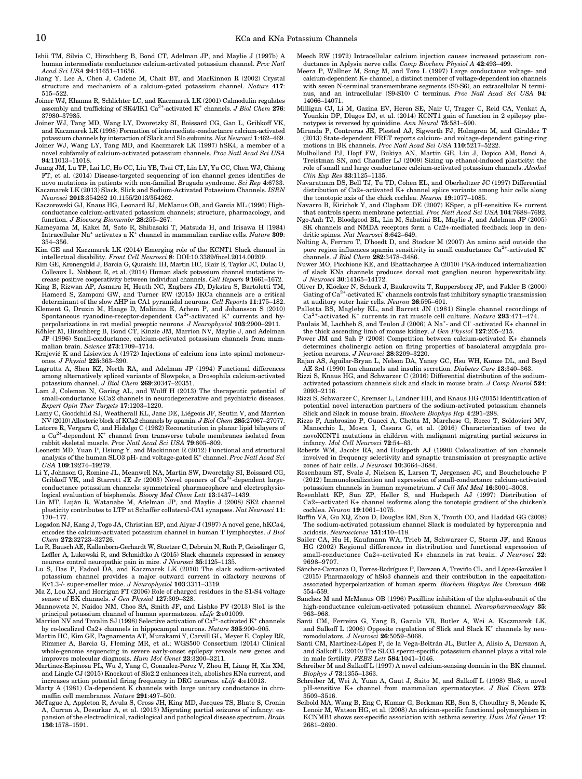- Ishii TM, Silvia C, Hirschberg B, Bond CT, Adelman JP, and Maylie J (1997b) A human intermediate conductance calcium-activated potassium channel. Proc Natl Acad Sci USA 94:11651–11656.
- Jiang Y, Lee A, Chen J, Cadene M, Chait BT, and MacKinnon R (2002) Crystal structure and mechanism of a calcium-gated potassium channel. Nature 417: 515–522.
- Joiner WJ, Khanna R, Schlichter LC, and Kaczmarek LK (2001) Calmodulin regulates assembly and trafficking of SK4/IK1  $Ca^{2+}$ -activated K<sup>+</sup> channels. *J Biol Chem* 276: 37980–37985.
- Joiner WJ, Tang MD, Wang LY, Dworetzky SI, Boissard CG, Gan L, Gribkoff VK, and Kaczmarek LK (1998) Formation of intermediate-conductance calcium-activated potassium channels by interaction of Slack and Slo subunits. Nat Neurosci 1:462–469.
- Joiner WJ, Wang LY, Tang MD, and Kaczmarek LK (1997) hSK4, a member of a novel subfamily of calcium-activated potassium channels. Proc Natl Acad Sci USA 94:11013–11018.
- Juang JM, Lu TP, Lai LC, Ho CC, Liu YB, Tsai CT, Lin LY, Yu CC, Chen WJ, Chiang FT, et al. (2014) Disease-targeted sequencing of ion channel genes identifies de novo mutations in patients with non-familial Brugada syndrome. Sci Rep 4:6733. Kaczmarek LK (2013) Slack, Slick and Sodium-Activated Potassium Channels. ISRN
- Neurosci 2013:354262 10.1155/2013/354262. Kaczorowski GJ, Knaus HG, Leonard RJ, McManus OB, and Garcia ML (1996) High-
- conductance calcium-activated potassium channels; structure, pharmacology, and function. J Bioenerg Biomembr 28:255–267.
- Kameyama M, Kakei M, Sato R, Shibasaki T, Matsuda H, and Irisawa H (1984) Intracellular Na<sup>+</sup> activates a  $K^+$  channel in mammalian cardiac cells. Nature 309: 354–356.
- Kim GE and Kaczmarek LK (2014) Emerging role of the KCNT1 Slack channel in intellectual disability. Front Cell Neurosci 8: DOI:[10.3389/fncel.2014.00209](http://dx.doi.org/10.3389/fncel.2014.00209).
- Kim GE, Kronengold J, Barcia G, Quraishi IH, Martin HC, Blair E, Taylor JC, Dulac O, Colleaux L, Nabbout R, et al. (2014) Human slack potassium channel mutations increase positive cooperativity between individual channels. Cell Reports 9:1661–1672.
- King B, Rizwan AP, Asmara H, Heath NC, Engbers JD, Dykstra S, Bartoletti TM, Hameed S, Zamponi GW, and Turner RW (2015) IKCa channels are a critical determinant of the slow AHP in CA1 pyramidal neurons. Cell Reports 11:175–182.
- Klement G, Druzin M, Haage D, Malinina E, Arhem P, and Johansson S (2010) Spontaneous ryanodine-receptor-dependent  $Ca^{2+}$ -activated  $K^+$  currents and hyperpolarizations in rat medial preoptic neurons. J Neurophysiol 103:2900–2911.
- Köhler M, Hirschberg B, Bond CT, Kinzie JM, Marrion NV, Maylie J, and Adelman JP (1996) Small-conductance, calcium-activated potassium channels from mammalian brain. Science 273:1709–1714.
- Krnjevic K and Lisiewicz A (1972) Injections of calcium ions into spinal motoneurones. J Physiol 225:363–390.
- Lagrutta A, Shen KZ, North RA, and Adelman JP (1994) Functional differences among alternatively spliced variants of Slowpoke, a Drosophila calcium-activated potassium channel. J Biol Chem 269:20347–20351.
- Lam J, Coleman N, Garing AL, and Wulff H (2013) The therapeutic potential of small-conductance KCa2 channels in neurodegenerative and psychiatric diseases. Expert Opin Ther Targets 17:1203–1220.
- Lamy C, Goodchild SJ, Weatherall KL, Jane DE, Liégeois JF, Seutin V, and Marrion NV (2010) Allosteric block of KCa2 channels by apamin. J Biol Chem 285:27067–27077.
- Latorre R, Vergara C, and Hidalgo C (1982) Reconstitution in planar lipid bilayers of a  $Ca<sup>2+</sup>$ -dependent K<sup>+</sup> channel from transverse tubule membranes isolated from rabbit skeletal muscle. Proc Natl Acad Sci USA 79:805–809.
- Leonetti MD, Yuan P, Hsiung Y, and Mackinnon R (2012) Functional and structural analysis of the human SLO3 pH- and voltage-gated K<sup>+</sup> channel. Proc Natl Acad Sci USA 109:19274–19279.
- Li Y, Johnson G, Romine JL, Meanwell NA, Martin SW, Dworetzky SI, Boissard CG, Gribkoff VK, and Starrett JE Jr (2003) Novel openers of Ca<sup>2+</sup>-dependent largeconductance potassium channels: symmetrical pharmacophore and electrophysiological evaluation of bisphenols. Bioorg Med Chem Lett 13:1437–1439.
- Lin MT, Luján R, Watanabe M, Adelman JP, and Maylie J (2008) SK2 channel plasticity contributes to LTP at Schaffer collateral-CA1 synapses. Nat Neurosci 11: 170–177.
- Logsdon NJ, Kang J, Togo JA, Christian EP, and Aiyar J (1997) A novel gene, hKCa4, encodes the calcium-activated potassium channel in human T lymphocytes. J Biol Chem 272:32723–32726.
- Lu R, Bausch AE, Kallenborn-Gerhardt W, Stoetzer C, Debruin N, Ruth P, Geisslinger G, Leffler A, Lukowski R, and Schmidtko A (2015) Slack channels expressed in sensory neurons control neuropathic pain in mice. J Neurosci 35:1125–1135.
- Lu S, Das P, Fadool DA, and Kaczmarek LK (2010) The slack sodium-activated potassium channel provides a major outward current in olfactory neurons of Kv1.3-/- super-smeller mice. J Neurophysiol 103:3311–3319.
- Ma Z, Lou XJ, and Horrigan FT (2006) Role of charged residues in the S1-S4 voltage sensor of BK channels. J Gen Physiol 127:309-328.
- Mannowetz N, Naidoo NM, Choo SA, Smith JF, and Lishko PV (2013) Slo1 is the principal potassium channel of human spermatozoa. *eLife* 2:e01009.<br>Marrion NV and Tavalin SJ (1998) Selective activation of Ca<sup>2+</sup>-activated K<sup>+</sup> channels
- by co-localized Ca2+ channels in hippocampal neurons. Nature 395:900–905.
- Martin HC, Kim GE, Pagnamenta AT, Murakami Y, Carvill GL, Meyer E, Copley RR, Rimmer A, Barcia G, Fleming MR, et al.; WGS500 Consortium (2014) Clinical whole-genome sequencing in severe early-onset epilepsy reveals new genes and improves molecular diagnosis. Hum Mol Genet 23:3200–3211.
- Martinez-Espinosa PL, Wu J, Yang C, Gonzalez-Perez V, Zhou H, Liang H, Xia XM, and Lingle CJ (2015) Knockout of Slo2.2 enhances itch, abolishes KNa current, and increases action potential firing frequency in DRG neurons. eLife 4:e10013.
- Marty A (1981) Ca-dependent K channels with large unitary conductance in chromaffin cell membranes. Nature 291:497–500.
- McTague A, Appleton R, Avula S, Cross JH, King MD, Jacques TS, Bhate S, Cronin A, Curran A, Desurkar A, et al. (2013) Migrating partial seizures of infancy: expansion of the electroclinical, radiological and pathological disease spectrum. Brain 136:1578–1591.
- Meech RW (1972) Intracellular calcium injection causes increased potassium conductance in Aplysia nerve cells. Comp Biochem Physiol A 42:493–499.
- Meera P, Wallner M, Song M, and Toro L (1997) Large conductance voltage- and calcium-dependent K+ channel, a distinct member of voltage-dependent ion channels with seven N-terminal transmembrane segments (S0-S6), an extracellular N terminus, and an intracellular (S9-S10) C terminus. Proc Natl Acad Sci USA 94: 14066–14071.
- Milligan CJ, Li M, Gazina EV, Heron SE, Nair U, Trager C, Reid CA, Venkat A, Younkin DP, Dlugos DJ, et al. (2014) KCNT1 gain of function in 2 epilepsy phenotypes is reversed by quinidine. Ann Neurol 75:581–590.
- Miranda P, Contreras JE, Plested AJ, Sigworth FJ, Holmgren M, and Giraldez T (2013) State-dependent FRET reports calcium- and voltage-dependent gating-ring motions in BK channels. Proc Natl Acad Sci USA 110:5217-5222.
- Mulholland PJ, Hopf FW, Bukiya AN, Martin GE, Liu J, Dopico AM, Bonci A, Treistman SN, and Chandler LJ (2009) Sizing up ethanol-induced plasticity: the role of small and large conductance calcium-activated potassium channels. Alcohol Clin Exp Res 33:1125–1135.
- Navaratnam DS, Bell TJ, Tu TD, Cohen EL, and Oberholtzer JC (1997) Differential distribution of Ca2+-activated K+ channel splice variants among hair cells along the tonotopic axis of the chick cochlea. Neuron 19:1077–1085.
- Navarro B, Kirichok Y, and Clapham DE (2007) KSper, a pH-sensitive K+ current that controls sperm membrane potential. Proc Natl Acad Sci USA 104:7688–7692.
- Ngo-Anh TJ, Bloodgood BL, Lin M, Sabatini BL, Maylie J, and Adelman JP (2005) SK channels and NMDA receptors form a Ca2+-mediated feedback loop in dendritic spines. Nat Neurosci 8:642-649.
- Nolting A, Ferraro T, D'hoedt D, and Stocker M (2007) An amino acid outside the pore region influences apamin sensitivity in small conductance  $Ca^{2+}$ -activated K<sup>+</sup> channels. J Biol Chem 282:3478–3486.
- Nuwer MO, Picchione KE, and Bhattacharjee A (2010) PKA-induced internalization of slack KNa channels produces dorsal root ganglion neuron hyperexcitability.
- J Neurosci 30:14165–14172. Oliver D, Klöcker N, Schuck J, Baukrowitz T, Ruppersberg JP, and Fakler B (2000) Gating of  $Ca^{2+}$ -activated K<sup>+</sup> channels controls fast inhibitory synaptic transmission at auditory outer hair cells. Neuron 26:595–601.
- Pallotta BS, Magleby KL, and Barrett JN (1981) Single channel recordings of  $Ca<sup>2+</sup>$ -activated K<sup>+</sup> currents in rat muscle cell culture. Nature 293:471-474.
- Paulais M, Lachheb S, and Teulon J (2006) A Na<sup>+</sup>- and Cl<sup>-</sup>-activated K+ channel in the thick ascending limb of mouse kidney. J Gen Physiol 127:205–215.
- Power JM and Sah P (2008) Competition between calcium-activated K+ channels determines cholinergic action on firing properties of basolateral amygdala projection neurons. J Neurosci 28:3209–3220.
- Rajan AS, Aguilar-Bryan L, Nelson DA, Yaney GC, Hsu WH, Kunze DL, and Boyd AE 3rd (1990) Ion channels and insulin secretion. Diabetes Care 13:340–363.
- Rizzi S, Knaus HG, and Schwarzer C (2016) Differential distribution of the sodiumactivated potassium channels slick and slack in mouse brain. J Comp Neurol 524: 2093–2116.
- Rizzi S, Schwarzer C, Kremser L, Lindner HH, and Knaus HG (2015) Identification of potential novel interaction partners of the sodium-activated potassium channels Slick and Slack in mouse brain. Biochem Biophys Rep 4:291–298.
- Rizzo F, Ambrosino P, Guacci A, Chetta M, Marchese G, Rocco T, Soldovieri MV, Manocchio L, Mosca I, Casara G, et al. (2016) Characterization of two de novoKCNT1 mutations in children with malignant migrating partial seizures in infancy. Mol Cell Neurosci 72:54–63.
- Roberts WM, Jacobs RA, and Hudspeth AJ (1990) Colocalization of ion channels involved in frequency selectivity and synaptic transmission at presynaptic active zones of hair cells. J Neurosci 10:3664–3684.
- Rosenbaum ST, Svalø J, Nielsen K, Larsen T, Jørgensen JC, and Bouchelouche P (2012) Immunolocalization and expression of small-conductance calcium-activated potassium channels in human myometrium. J Cell Mol Med 16:3001–3008.
- Rosenblatt KP, Sun ZP, Heller S, and Hudspeth AJ (1997) Distribution of Ca2+-activated K+ channel isoforms along the tonotopic gradient of the chicken's cochlea. Neuron 19:1061–1075.
- Ruffin VA, Gu XQ, Zhou D, Douglas RM, Sun X, Trouth CO, and Haddad GG (2008) The sodium-activated potassium channel Slack is modulated by hypercapnia and acidosis. Neuroscience 151:410–418.
- Sailer CA, Hu H, Kaufmann WA, Trieb M, Schwarzer C, Storm JF, and Knaus HG (2002) Regional differences in distribution and functional expression of small-conductance Ca2+-activated K+ channels in rat brain. J Neurosci 22: 9698–9707.
- Sánchez-Carranza O, Torres-Rodríguez P, Darszon A, Treviño CL, and López-González I (2015) Pharmacology of hSlo3 channels and their contribution in the capacitationassociated hyperpolarization of human sperm. Biochem Biophys Res Commun 466: 554–559.
- Sanchez M and McManus OB (1996) Paxilline inhibition of the alpha-subunit of the high-conductance calcium-activated potassium channel. Neuropharmacology 35: 963–968.
- Santi CM, Ferreira G, Yang B, Gazula VR, Butler A, Wei A, Kaczmarek LK, and Salkoff L (2006) Opposite regulation of Slick and Slack K<sup>+</sup> channels by neuromodulators. J Neurosci 26:5059–5068.
- Santi CM, Martínez-López P, de la Vega-Beltrán JL, Butler A, Alisio A, Darszon A, and Salkoff L (2010) The SLO3 sperm-specific potassium channel plays a vital role in male fertility. FEBS Lett 584:1041–1046.
- Schreiber M and Salkoff L (1997) A novel calcium-sensing domain in the BK channel. Biophys J 73:1355–1363.
- Schreiber M, Wei A, Yuan A, Gaut J, Saito M, and Salkoff L (1998) Slo3, a novel pH-sensitive K+ channel from mammalian spermatocytes. J Biol Chem 273: 3509–3516.
- Seibold MA, Wang B, Eng C, Kumar G, Beckman KB, Sen S, Choudhry S, Meade K, Lenoir M, Watson HG, et al. (2008) An african-specific functional polymorphism in KCNMB1 shows sex-specific association with asthma severity. Hum Mol Genet 17: 2681–2690.